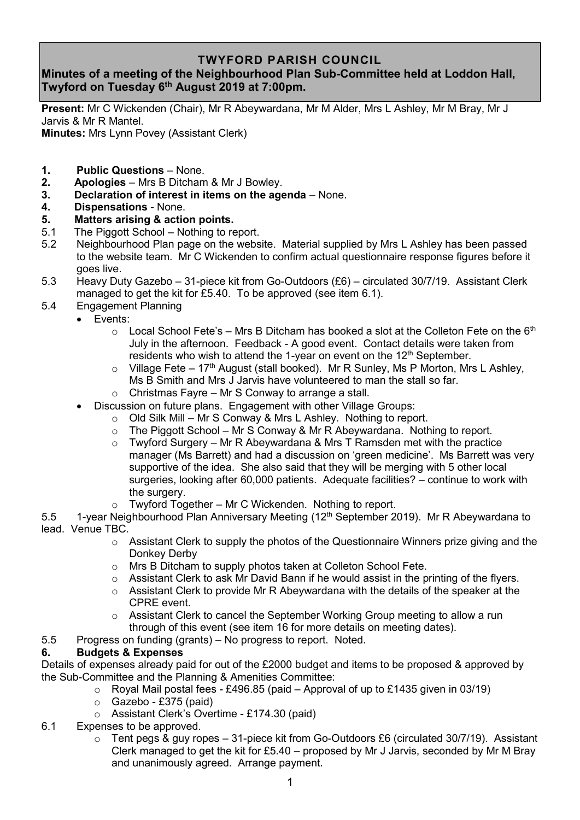## **TWYFORD PARISH COUNCIL**

# **Minutes of a meeting of the Neighbourhood Plan Sub-Committee held at Loddon Hall, Twyford on Tuesday 6 th August 2019 at 7:00pm.**

**Present:** Mr C Wickenden (Chair), Mr R Abeywardana, Mr M Alder, Mrs L Ashley, Mr M Bray, Mr J Jarvis & Mr R Mantel.

**Minutes:** Mrs Lynn Povey (Assistant Clerk)

- **1. Public Questions** None.
- **2. Apologies** Mrs B Ditcham & Mr J Bowley.
- **3. Declaration of interest in items on the agenda** None.
- **4. Dispensations** None.
- **5. Matters arising & action points.**
- 5.1 The Piggott School Nothing to report.
- 5.2 Neighbourhood Plan page on the website. Material supplied by Mrs L Ashley has been passed to the website team. Mr C Wickenden to confirm actual questionnaire response figures before it goes live.
- 5.3 Heavy Duty Gazebo 31-piece kit from Go-Outdoors (£6) circulated 30/7/19. Assistant Clerk managed to get the kit for £5.40. To be approved (see item 6.1).
- 5.4 Engagement Planning
	- Events:
		- $\circ$  Local School Fete's Mrs B Ditcham has booked a slot at the Colleton Fete on the 6<sup>th</sup> July in the afternoon. Feedback - A good event. Contact details were taken from residents who wish to attend the 1-year on event on the  $12<sup>th</sup>$  September.
		- $\circ$  Village Fete 17<sup>th</sup> August (stall booked). Mr R Sunley, Ms P Morton, Mrs L Ashley, Ms B Smith and Mrs J Jarvis have volunteered to man the stall so far.
		- $\circ$  Christmas Fayre Mr S Conway to arrange a stall.
		- Discussion on future plans. Engagement with other Village Groups:
			- $\circ$  Old Silk Mill Mr S Conway & Mrs L Ashley. Nothing to report.
			- $\circ$  The Piggott School Mr S Conway & Mr R Abeywardana. Nothing to report.
			- $\circ$  Twyford Surgery Mr R Abeywardana & Mrs T Ramsden met with the practice manager (Ms Barrett) and had a discussion on 'green medicine'. Ms Barrett was very supportive of the idea. She also said that they will be merging with 5 other local surgeries, looking after 60,000 patients. Adequate facilities? – continue to work with the surgery.
			- Twyford Together Mr C Wickenden. Nothing to report.
- 5.5 1-year Neighbourhood Plan Anniversary Meeting (12<sup>th</sup> September 2019). Mr R Abeywardana to lead. Venue TBC.
	- o Assistant Clerk to supply the photos of the Questionnaire Winners prize giving and the Donkey Derby
	- o Mrs B Ditcham to supply photos taken at Colleton School Fete.
	- $\circ$  Assistant Clerk to ask Mr David Bann if he would assist in the printing of the flyers.
	- $\circ$  Assistant Clerk to provide Mr R Abeywardana with the details of the speaker at the CPRE event.
	- $\circ$  Assistant Clerk to cancel the September Working Group meeting to allow a run through of this event (see item 16 for more details on meeting dates).
- 5.5 Progress on funding (grants) No progress to report. Noted.

## **6. Budgets & Expenses**

Details of expenses already paid for out of the £2000 budget and items to be proposed & approved by the Sub-Committee and the Planning & Amenities Committee:

- $\circ$  Royal Mail postal fees £496.85 (paid Approval of up to £1435 given in 03/19)
- $\circ$  Gazebo £375 (paid)
- o Assistant Clerk's Overtime £174.30 (paid)
- 6.1 Expenses to be approved.
	- $\circ$  Tent pegs & guy ropes 31-piece kit from Go-Outdoors £6 (circulated 30/7/19). Assistant Clerk managed to get the kit for £5.40 – proposed by Mr J Jarvis, seconded by Mr M Bray and unanimously agreed. Arrange payment.